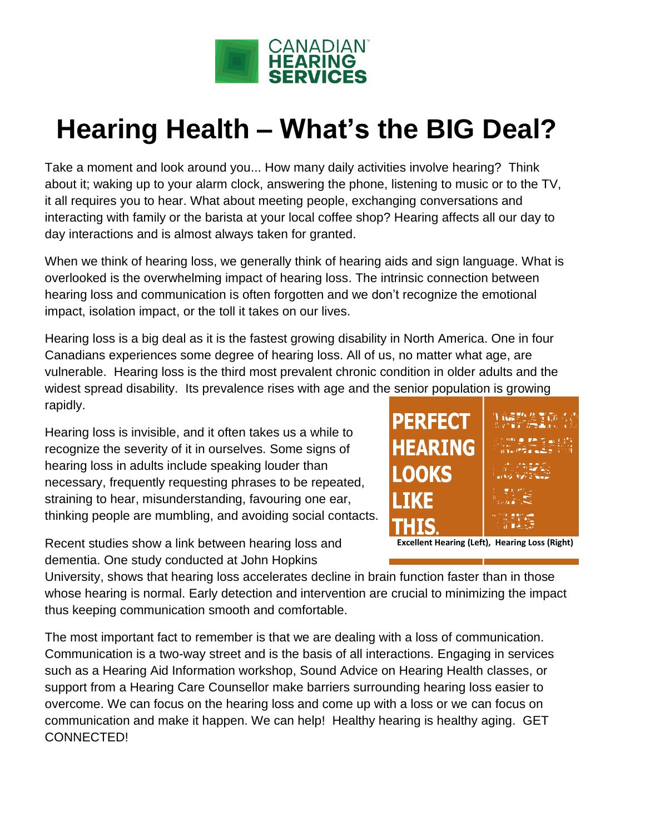

## **Hearing Health – What's the BIG Deal?**

Take a moment and look around you... How many daily activities involve hearing? Think about it; waking up to your alarm clock, answering the phone, listening to music or to the TV, it all requires you to hear. What about meeting people, exchanging conversations and interacting with family or the barista at your local coffee shop? Hearing affects all our day to day interactions and is almost always taken for granted.

When we think of hearing loss, we generally think of hearing aids and sign language. What is overlooked is the overwhelming impact of hearing loss. The intrinsic connection between hearing loss and communication is often forgotten and we don't recognize the emotional impact, isolation impact, or the toll it takes on our lives.

Hearing loss is a big deal as it is the fastest growing disability in North America. One in four Canadians experiences some degree of hearing loss. All of us, no matter what age, are vulnerable. Hearing loss is the third most prevalent chronic condition in older adults and the widest spread disability. Its prevalence rises with age and the senior population is growing rapidly.

Hearing loss is invisible, and it often takes us a while to recognize the severity of it in ourselves. Some signs of hearing loss in adults include speaking louder than necessary, frequently requesting phrases to be repeated, straining to hear, misunderstanding, favouring one ear, thinking people are mumbling, and avoiding social contacts.

Recent studies show a link between hearing loss and dementia. One study conducted at John Hopkins

University, shows that hearing loss accelerates decline in brain function faster than in those whose hearing is normal. Early detection and intervention are crucial to minimizing the impact thus keeping communication smooth and comfortable.

The most important fact to remember is that we are dealing with a loss of communication. Communication is a two-way street and is the basis of all interactions. Engaging in services such as a Hearing Aid Information workshop, Sound Advice on Hearing Health classes, or support from a Hearing Care Counsellor make barriers surrounding hearing loss easier to overcome. We can focus on the hearing loss and come up with a loss or we can focus on communication and make it happen. We can help! Healthy hearing is healthy aging. GET CONNECTED!